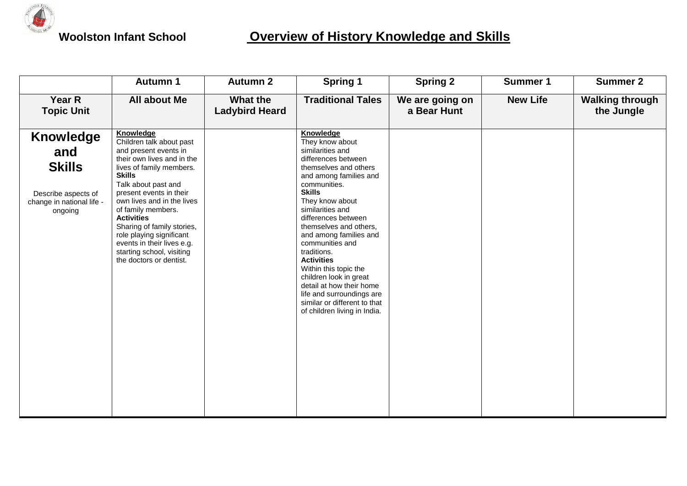

## **Woolston Infant School Overview of History Knowledge and Skills**

|                                                                                                         | <b>Autumn 1</b>                                                                                                                                                                                                                                                                                                                                                                                                      | <b>Autumn 2</b>                   | <b>Spring 1</b>                                                                                                                                                                                                                                                                                                                                                                                                                                                                                                  | <b>Spring 2</b>                | <b>Summer 1</b> | <b>Summer 2</b>                      |
|---------------------------------------------------------------------------------------------------------|----------------------------------------------------------------------------------------------------------------------------------------------------------------------------------------------------------------------------------------------------------------------------------------------------------------------------------------------------------------------------------------------------------------------|-----------------------------------|------------------------------------------------------------------------------------------------------------------------------------------------------------------------------------------------------------------------------------------------------------------------------------------------------------------------------------------------------------------------------------------------------------------------------------------------------------------------------------------------------------------|--------------------------------|-----------------|--------------------------------------|
| Year R<br><b>Topic Unit</b>                                                                             | All about Me                                                                                                                                                                                                                                                                                                                                                                                                         | What the<br><b>Ladybird Heard</b> | <b>Traditional Tales</b>                                                                                                                                                                                                                                                                                                                                                                                                                                                                                         | We are going on<br>a Bear Hunt | <b>New Life</b> | <b>Walking through</b><br>the Jungle |
| <b>Knowledge</b><br>and<br><b>Skills</b><br>Describe aspects of<br>change in national life -<br>ongoing | Knowledge<br>Children talk about past<br>and present events in<br>their own lives and in the<br>lives of family members.<br><b>Skills</b><br>Talk about past and<br>present events in their<br>own lives and in the lives<br>of family members.<br><b>Activities</b><br>Sharing of family stories,<br>role playing significant<br>events in their lives e.g.<br>starting school, visiting<br>the doctors or dentist. |                                   | Knowledge<br>They know about<br>similarities and<br>differences between<br>themselves and others<br>and among families and<br>communities.<br><b>Skills</b><br>They know about<br>similarities and<br>differences between<br>themselves and others,<br>and among families and<br>communities and<br>traditions.<br><b>Activities</b><br>Within this topic the<br>children look in great<br>detail at how their home<br>life and surroundings are<br>similar or different to that<br>of children living in India. |                                |                 |                                      |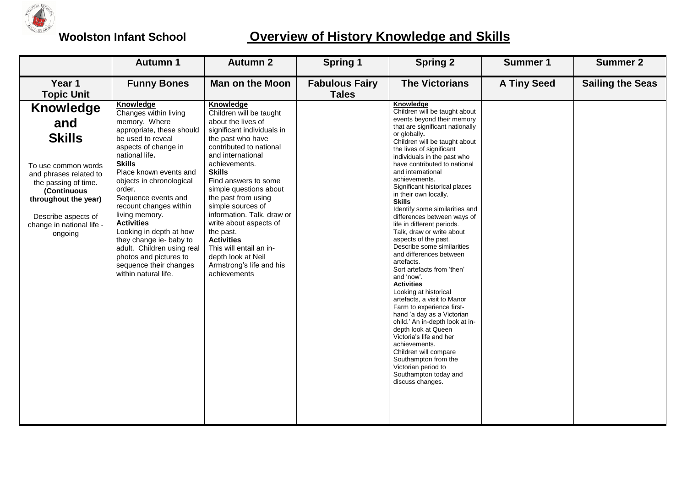

## **Woolston Infant School Overview of History Knowledge and Skills**

|                                                                                                                                                                                                                  | <b>Autumn 1</b>                                                                                                                                                                                                                                                                                                                                                                                                                                                                                 | <b>Autumn 2</b>                                                                                                                                                                                                                                                                                                                                                                                                                                                                      | <b>Spring 1</b>                       | <b>Spring 2</b>                                                                                                                                                                                                                                                                                                                                                                                                                                                                                                                                                                                                                                                                                                                                                                                                                                                                                                                                                                                                    | <b>Summer 1</b>    | <b>Summer 2</b>         |
|------------------------------------------------------------------------------------------------------------------------------------------------------------------------------------------------------------------|-------------------------------------------------------------------------------------------------------------------------------------------------------------------------------------------------------------------------------------------------------------------------------------------------------------------------------------------------------------------------------------------------------------------------------------------------------------------------------------------------|--------------------------------------------------------------------------------------------------------------------------------------------------------------------------------------------------------------------------------------------------------------------------------------------------------------------------------------------------------------------------------------------------------------------------------------------------------------------------------------|---------------------------------------|--------------------------------------------------------------------------------------------------------------------------------------------------------------------------------------------------------------------------------------------------------------------------------------------------------------------------------------------------------------------------------------------------------------------------------------------------------------------------------------------------------------------------------------------------------------------------------------------------------------------------------------------------------------------------------------------------------------------------------------------------------------------------------------------------------------------------------------------------------------------------------------------------------------------------------------------------------------------------------------------------------------------|--------------------|-------------------------|
| Year 1<br><b>Topic Unit</b>                                                                                                                                                                                      | <b>Funny Bones</b>                                                                                                                                                                                                                                                                                                                                                                                                                                                                              | <b>Man on the Moon</b>                                                                                                                                                                                                                                                                                                                                                                                                                                                               | <b>Fabulous Fairy</b><br><b>Tales</b> | <b>The Victorians</b>                                                                                                                                                                                                                                                                                                                                                                                                                                                                                                                                                                                                                                                                                                                                                                                                                                                                                                                                                                                              | <b>A Tiny Seed</b> | <b>Sailing the Seas</b> |
| Knowledge<br>and<br><b>Skills</b><br>To use common words<br>and phrases related to<br>the passing of time.<br>(Continuous<br>throughout the year)<br>Describe aspects of<br>change in national life -<br>ongoing | <b>Knowledge</b><br>Changes within living<br>memory. Where<br>appropriate, these should<br>be used to reveal<br>aspects of change in<br>national life.<br><b>Skills</b><br>Place known events and<br>objects in chronological<br>order.<br>Sequence events and<br>recount changes within<br>living memory.<br><b>Activities</b><br>Looking in depth at how<br>they change ie- baby to<br>adult. Children using real<br>photos and pictures to<br>sequence their changes<br>within natural life. | Knowledge<br>Children will be taught<br>about the lives of<br>significant individuals in<br>the past who have<br>contributed to national<br>and international<br>achievements.<br><b>Skills</b><br>Find answers to some<br>simple questions about<br>the past from using<br>simple sources of<br>information. Talk, draw or<br>write about aspects of<br>the past.<br><b>Activities</b><br>This will entail an in-<br>depth look at Neil<br>Armstrong's life and his<br>achievements |                                       | Knowledge<br>Children will be taught about<br>events beyond their memory<br>that are significant nationally<br>or globally.<br>Children will be taught about<br>the lives of significant<br>individuals in the past who<br>have contributed to national<br>and international<br>achievements.<br>Significant historical places<br>in their own locally.<br><b>Skills</b><br>Identify some similarities and<br>differences between ways of<br>life in different periods.<br>Talk, draw or write about<br>aspects of the past.<br>Describe some similarities<br>and differences between<br>artefacts.<br>Sort artefacts from 'then'<br>and 'now'.<br><b>Activities</b><br>Looking at historical<br>artefacts, a visit to Manor<br>Farm to experience first-<br>hand 'a day as a Victorian<br>child.' An in-depth look at in-<br>depth look at Queen<br>Victoria's life and her<br>achievements.<br>Children will compare<br>Southampton from the<br>Victorian period to<br>Southampton today and<br>discuss changes. |                    |                         |